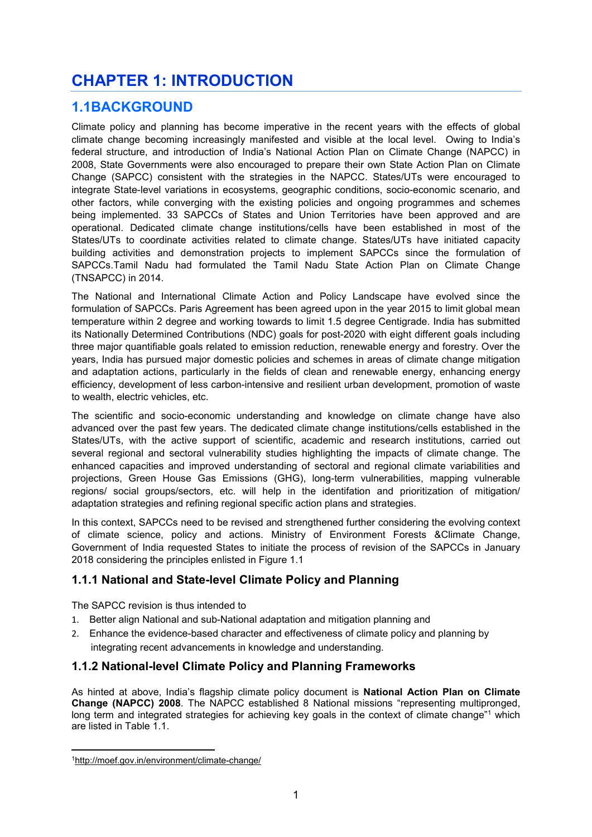# **CHAPTER 1: INTRODUCTION**

# **1.1BACKGROUND**

Climate policy and planning has become imperative in the recent years with the effects of global climate change becoming increasingly manifested and visible at the local level. Owing to India's federal structure, and introduction of India's National Action Plan on Climate Change (NAPCC) in 2008, State Governments were also encouraged to prepare their own State Action Plan on Climate Change (SAPCC) consistent with the strategies in the NAPCC. States/UTs were encouraged to integrate State-level variations in ecosystems, geographic conditions, socio-economic scenario, and other factors, while converging with the existing policies and ongoing programmes and schemes being implemented. 33 SAPCCs of States and Union Territories have been approved and are operational. Dedicated climate change institutions/cells have been established in most of the States/UTs to coordinate activities related to climate change. States/UTs have initiated capacity building activities and demonstration projects to implement SAPCCs since the formulation of SAPCCs.Tamil Nadu had formulated the Tamil Nadu State Action Plan on Climate Change (TNSAPCC) in 2014.

The National and International Climate Action and Policy Landscape have evolved since the formulation of SAPCCs. Paris Agreement has been agreed upon in the year 2015 to limit global mean temperature within 2 degree and working towards to limit 1.5 degree Centigrade. India has submitted its Nationally Determined Contributions (NDC) goals for post-2020 with eight different goals including three major quantifiable goals related to emission reduction, renewable energy and forestry. Over the years, India has pursued major domestic policies and schemes in areas of climate change mitigation and adaptation actions, particularly in the fields of clean and renewable energy, enhancing energy efficiency, development of less carbon-intensive and resilient urban development, promotion of waste to wealth, electric vehicles, etc.

The scientific and socio-economic understanding and knowledge on climate change have also advanced over the past few years. The dedicated climate change institutions/cells established in the States/UTs, with the active support of scientific, academic and research institutions, carried out several regional and sectoral vulnerability studies highlighting the impacts of climate change. The enhanced capacities and improved understanding of sectoral and regional climate variabilities and projections, Green House Gas Emissions (GHG), long-term vulnerabilities, mapping vulnerable regions/ social groups/sectors, etc. will help in the identifation and prioritization of mitigation/ adaptation strategies and refining regional specific action plans and strategies.

In this context, SAPCCs need to be revised and strengthened further considering the evolving context of climate science, policy and actions. Ministry of Environment Forests &Climate Change, Government of India requested States to initiate the process of revision of the SAPCCs in January 2018 considering the principles enlisted in Figure 1.1

### **1.1.1 National and State-level Climate Policy and Planning**

The SAPCC revision is thus intended to

- 1. Better align National and sub-National adaptation and mitigation planning and
- 2. Enhance the evidence-based character and effectiveness of climate policy and planning by integrating recent advancements in knowledge and understanding.

### **1.1.2 National-level Climate Policy and Planning Frameworks**

As hinted at above, India's flagship climate policy document is **National Action Plan on Climate Change (NAPCC) 2008**. The NAPCC established 8 National missions "representing multipronged, long term and integrated strategies for achieving key goals in the context of climate change"<sup>1</sup> which are listed in Table 1.1.

<sup>-</sup>1http://moef.gov.in/environment/climate-change/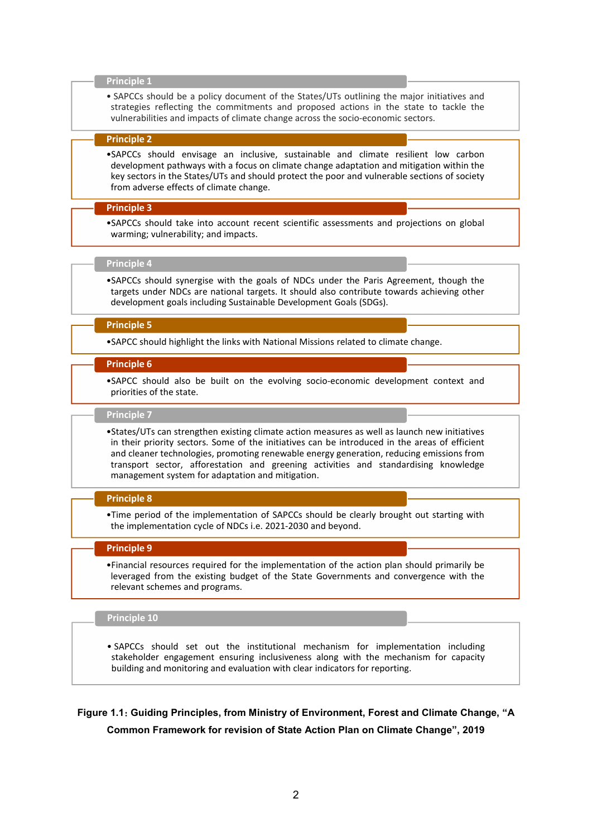#### **Principle 1**

• SAPCCs should be a policy document of the States/UTs outlining the major initiatives and strategies reflecting the commitments and proposed actions in the state to tackle the vulnerabilities and impacts of climate change across the socio-economic sectors.

#### **Principle 2**

•SAPCCs should envisage an inclusive, sustainable and climate resilient low carbon development pathways with a focus on climate change adaptation and mitigation within the key sectors in the States/UTs and should protect the poor and vulnerable sections of society from adverse effects of climate change.

#### **Principle 3**

•SAPCCs should take into account recent scientific assessments and projections on global warming; vulnerability; and impacts.

#### **Principle 4**

•SAPCCs should synergise with the goals of NDCs under the Paris Agreement, though the targets under NDCs are national targets. It should also contribute towards achieving other development goals including Sustainable Development Goals (SDGs).

#### **Principle 5**

•SAPCC should highlight the links with National Missions related to climate change.

#### **Principle 6**

•SAPCC should also be built on the evolving socio-economic development context and priorities of the state.

#### **Principle 7**

•States/UTs can strengthen existing climate action measures as well as launch new initiatives in their priority sectors. Some of the initiatives can be introduced in the areas of efficient and cleaner technologies, promoting renewable energy generation, reducing emissions from transport sector, afforestation and greening activities and standardising knowledge management system for adaptation and mitigation.

#### **Principle 8**

•Time period of the implementation of SAPCCs should be clearly brought out starting with the implementation cycle of NDCs i.e. 2021-2030 and beyond.

#### **Principle 9**

•Financial resources required for the implementation of the action plan should primarily be leveraged from the existing budget of the State Governments and convergence with the relevant schemes and programs.

#### **Principle 10**

• SAPCCs should set out the institutional mechanism for implementation including stakeholder engagement ensuring inclusiveness along with the mechanism for capacity building and monitoring and evaluation with clear indicators for reporting.

**Figure 1.1**: **Guiding Principles, from Ministry of Environment, Forest and Climate Change, "A Common Framework for revision of State Action Plan on Climate Change", 2019**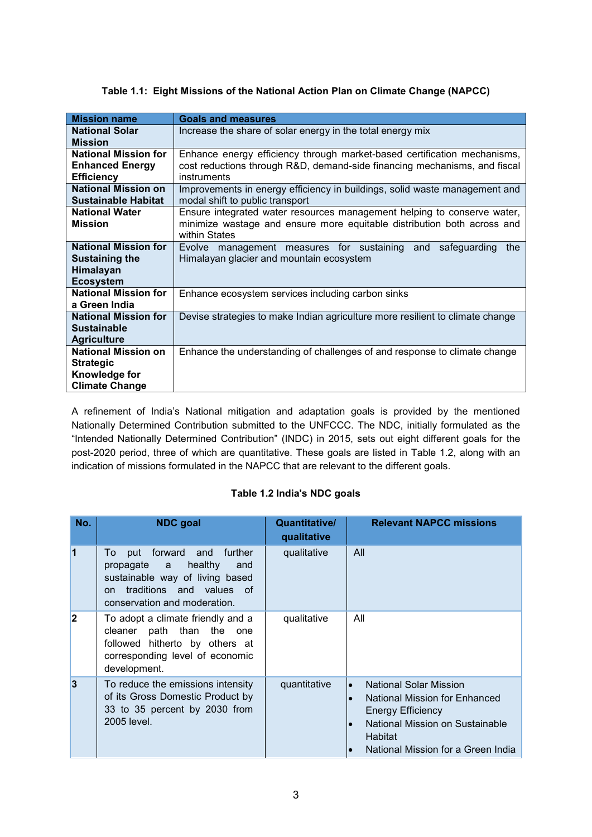### **Table 1.1: Eight Missions of the National Action Plan on Climate Change (NAPCC)**

| <b>Mission name</b>         | <b>Goals and measures</b>                                                     |  |  |  |
|-----------------------------|-------------------------------------------------------------------------------|--|--|--|
| <b>National Solar</b>       | Increase the share of solar energy in the total energy mix                    |  |  |  |
| <b>Mission</b>              |                                                                               |  |  |  |
| <b>National Mission for</b> | Enhance energy efficiency through market-based certification mechanisms,      |  |  |  |
| <b>Enhanced Energy</b>      | cost reductions through R&D, demand-side financing mechanisms, and fiscal     |  |  |  |
| <b>Efficiency</b>           | instruments                                                                   |  |  |  |
| <b>National Mission on</b>  | Improvements in energy efficiency in buildings, solid waste management and    |  |  |  |
| <b>Sustainable Habitat</b>  | modal shift to public transport                                               |  |  |  |
| <b>National Water</b>       | Ensure integrated water resources management helping to conserve water,       |  |  |  |
| <b>Mission</b>              | minimize wastage and ensure more equitable distribution both across and       |  |  |  |
|                             | within States                                                                 |  |  |  |
| <b>National Mission for</b> | Evolve management measures for sustaining<br>and<br>safequarding<br>the       |  |  |  |
| Sustaining the              | Himalayan glacier and mountain ecosystem                                      |  |  |  |
| Himalayan                   |                                                                               |  |  |  |
| <b>Ecosystem</b>            |                                                                               |  |  |  |
| <b>National Mission for</b> | Enhance ecosystem services including carbon sinks                             |  |  |  |
| a Green India               |                                                                               |  |  |  |
| <b>National Mission for</b> | Devise strategies to make Indian agriculture more resilient to climate change |  |  |  |
| <b>Sustainable</b>          |                                                                               |  |  |  |
| <b>Agriculture</b>          |                                                                               |  |  |  |
| <b>National Mission on</b>  | Enhance the understanding of challenges of and response to climate change     |  |  |  |
| <b>Strategic</b>            |                                                                               |  |  |  |
| Knowledge for               |                                                                               |  |  |  |
| <b>Climate Change</b>       |                                                                               |  |  |  |

A refinement of India's National mitigation and adaptation goals is provided by the mentioned Nationally Determined Contribution submitted to the UNFCCC. The NDC, initially formulated as the "Intended Nationally Determined Contribution" (INDC) in 2015, sets out eight different goals for the post-2020 period, three of which are quantitative. These goals are listed in Table 1.2, along with an indication of missions formulated in the NAPCC that are relevant to the different goals.

### **Table 1.2 India's NDC goals**

| No.                     | <b>NDC</b> goal                                                                                                                                                                      | Quantitative/<br>qualitative | <b>Relevant NAPCC missions</b>                                                                                                                                                              |
|-------------------------|--------------------------------------------------------------------------------------------------------------------------------------------------------------------------------------|------------------------------|---------------------------------------------------------------------------------------------------------------------------------------------------------------------------------------------|
| 1                       | forward and<br>further<br>To<br>put<br>healthy<br>propagate a<br>and<br>sustainable way of living based<br>traditions and values of<br><sub>on</sub><br>conservation and moderation. | qualitative                  | All                                                                                                                                                                                         |
| $\overline{\mathbf{2}}$ | To adopt a climate friendly and a<br>cleaner path than the one<br>followed hitherto by others at<br>corresponding level of economic<br>development.                                  | qualitative                  | All                                                                                                                                                                                         |
| $\overline{3}$          | To reduce the emissions intensity<br>of its Gross Domestic Product by<br>33 to 35 percent by 2030 from<br>2005 level.                                                                | quantitative                 | <b>National Solar Mission</b><br>lo<br>National Mission for Enhanced<br><b>Energy Efficiency</b><br>National Mission on Sustainable<br><b>Habitat</b><br>National Mission for a Green India |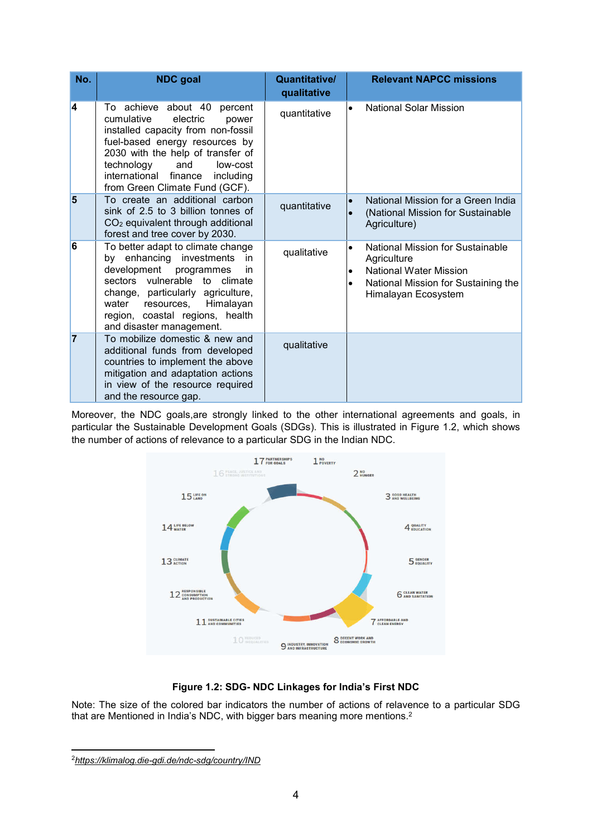| No.            | <b>NDC</b> goal                                                                                                                                                                                                                                                                             | Quantitative/<br>qualitative |                                     | <b>Relevant NAPCC missions</b>                                                                                                                 |
|----------------|---------------------------------------------------------------------------------------------------------------------------------------------------------------------------------------------------------------------------------------------------------------------------------------------|------------------------------|-------------------------------------|------------------------------------------------------------------------------------------------------------------------------------------------|
| 4              | achieve about 40<br>percent<br>Τo.<br>cumulative<br>electric<br>power<br>installed capacity from non-fossil<br>fuel-based energy resources by<br>2030 with the help of transfer of<br>technology<br>and<br>low-cost<br>international finance<br>including<br>from Green Climate Fund (GCF). | quantitative                 | $\bullet$                           | <b>National Solar Mission</b>                                                                                                                  |
| $\overline{5}$ | To create an additional carbon<br>sink of 2.5 to 3 billion tonnes of<br>CO <sub>2</sub> equivalent through additional<br>forest and tree cover by 2030.                                                                                                                                     | quantitative                 | $\bullet$<br>$\bullet$              | National Mission for a Green India<br>(National Mission for Sustainable<br>Agriculture)                                                        |
| 6              | To better adapt to climate change<br>by enhancing investments<br>in<br>development programmes<br>in<br>sectors vulnerable to climate<br>change, particularly agriculture,<br>resources, Himalayan<br>water<br>region, coastal regions, health<br>and disaster management.                   | qualitative                  | $\bullet$<br>$\bullet$<br>$\bullet$ | National Mission for Sustainable<br>Agriculture<br><b>National Water Mission</b><br>National Mission for Sustaining the<br>Himalayan Ecosystem |
| $\overline{7}$ | To mobilize domestic & new and<br>additional funds from developed<br>countries to implement the above<br>mitigation and adaptation actions<br>in view of the resource required<br>and the resource gap.                                                                                     | qualitative                  |                                     |                                                                                                                                                |

Moreover, the NDC goals,are strongly linked to the other international agreements and goals, in particular the Sustainable Development Goals (SDGs). This is illustrated in Figure 1.2, which shows the number of actions of relevance to a particular SDG in the Indian NDC.



### **Figure 1.2: SDG- NDC Linkages for India's First NDC**

Note: The size of the colored bar indicators the number of actions of relavence to a particular SDG that are Mentioned in India's NDC, with bigger bars meaning more mentions. 2

<sup>-</sup>2*https://klimalog.die-gdi.de/ndc-sdg/country/IND*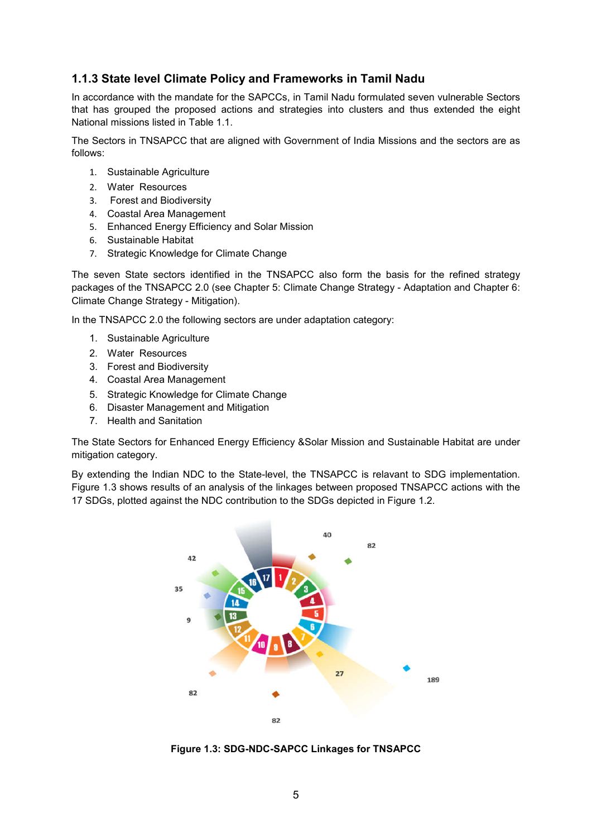### **1.1.3 State level Climate Policy and Frameworks in Tamil Nadu**

In accordance with the mandate for the SAPCCs, in Tamil Nadu formulated seven vulnerable Sectors that has grouped the proposed actions and strategies into clusters and thus extended the eight National missions listed in Table 1.1.

The Sectors in TNSAPCC that are aligned with Government of India Missions and the sectors are as follows:

- 1. Sustainable Agriculture
- 2. Water Resources
- 3. Forest and Biodiversity
- 4. Coastal Area Management
- 5. Enhanced Energy Efficiency and Solar Mission
- 6. Sustainable Habitat
- 7. Strategic Knowledge for Climate Change

The seven State sectors identified in the TNSAPCC also form the basis for the refined strategy packages of the TNSAPCC 2.0 (see Chapter 5: Climate Change Strategy - Adaptation and Chapter 6: Climate Change Strategy - Mitigation).

In the TNSAPCC 2.0 the following sectors are under adaptation category:

- 1. Sustainable Agriculture
- 2. Water Resources
- 3. Forest and Biodiversity
- 4. Coastal Area Management
- 5. Strategic Knowledge for Climate Change
- 6. Disaster Management and Mitigation
- 7. Health and Sanitation

The State Sectors for Enhanced Energy Efficiency &Solar Mission and Sustainable Habitat are under mitigation category.

By extending the Indian NDC to the State-level, the TNSAPCC is relavant to SDG implementation. Figure 1.3 shows results of an analysis of the linkages between proposed TNSAPCC actions with the 17 SDGs, plotted against the NDC contribution to the SDGs depicted in Figure 1.2.



**Figure 1.3: SDG-NDC-SAPCC Linkages for TNSAPCC**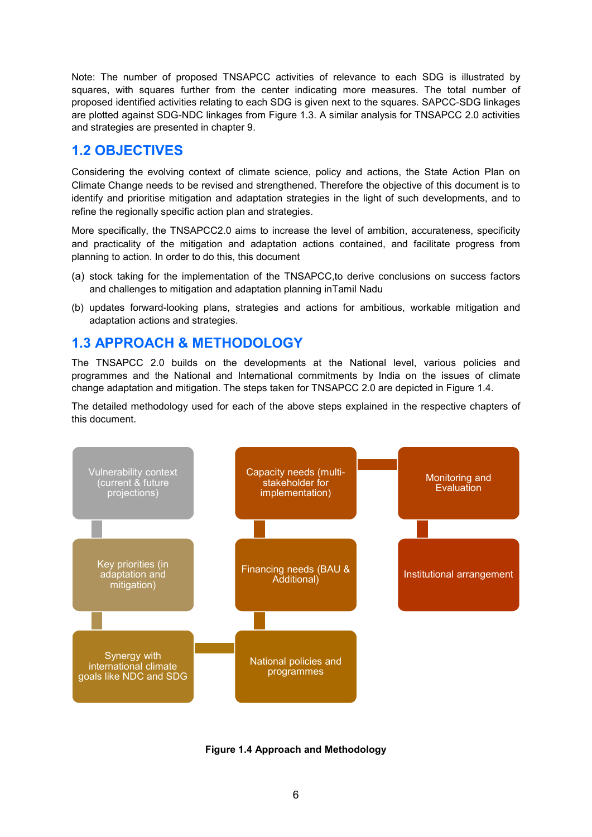Note: The number of proposed TNSAPCC activities of relevance to each SDG is illustrated by squares, with squares further from the center indicating more measures. The total number of proposed identified activities relating to each SDG is given next to the squares. SAPCC-SDG linkages are plotted against SDG-NDC linkages from Figure 1.3. A similar analysis for TNSAPCC 2.0 activities and strategies are presented in chapter 9.

## **1.2 OBJECTIVES**

Considering the evolving context of climate science, policy and actions, the State Action Plan on Climate Change needs to be revised and strengthened. Therefore the objective of this document is to identify and prioritise mitigation and adaptation strategies in the light of such developments, and to refine the regionally specific action plan and strategies.

More specifically, the TNSAPCC2.0 aims to increase the level of ambition, accurateness, specificity and practicality of the mitigation and adaptation actions contained, and facilitate progress from planning to action. In order to do this, this document

- (a) stock taking for the implementation of the TNSAPCC,to derive conclusions on success factors and challenges to mitigation and adaptation planning inTamil Nadu
- (b) updates forward-looking plans, strategies and actions for ambitious, workable mitigation and adaptation actions and strategies.

# **1.3 APPROACH & METHODOLOGY**

The TNSAPCC 2.0 builds on the developments at the National level, various policies and programmes and the National and International commitments by India on the issues of climate change adaptation and mitigation. The steps taken for TNSAPCC 2.0 are depicted in Figure 1.4.

The detailed methodology used for each of the above steps explained in the respective chapters of this document.



**Figure 1.4 Approach and Methodology**